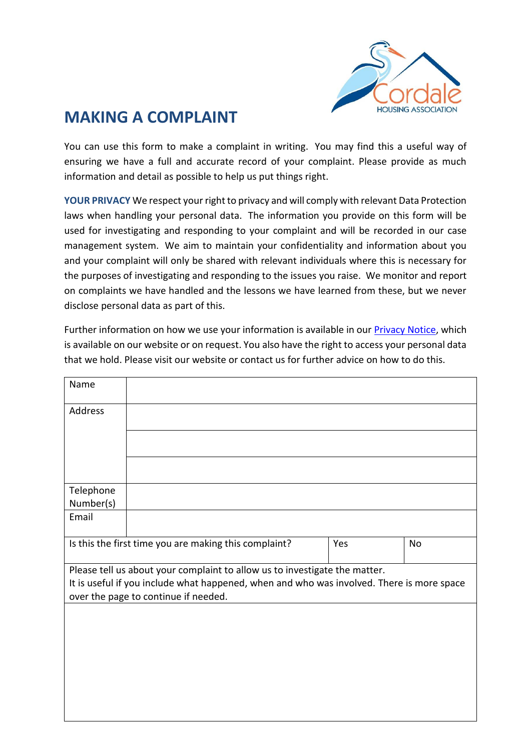

## **MAKING A COMPLAINT**

You can use this form to make a complaint in writing. You may find this a useful way of ensuring we have a full and accurate record of your complaint. Please provide as much information and detail as possible to help us put things right.

**YOUR PRIVACY** We respect your right to privacy and will comply with relevant Data Protection laws when handling your personal data. The information you provide on this form will be used for investigating and responding to your complaint and will be recorded in our case management system. We aim to maintain your confidentiality and information about you and your complaint will only be shared with relevant individuals where this is necessary for the purposes of investigating and responding to the issues you raise. We monitor and report on complaints we have handled and the lessons we have learned from these, but we never disclose personal data as part of this.

Further information on how we use your information is available in our [Privacy Notice,](https://www.caledoniaha.co.uk/cms/files/customer_privacy_notice_caledonia_july2019.pdf) which is available on our website or on request. You also have the right to access your personal data that we hold. Please visit our website or contact us for further advice on how to do this.

| Name                                                                                      |  |     |    |
|-------------------------------------------------------------------------------------------|--|-----|----|
| Address                                                                                   |  |     |    |
|                                                                                           |  |     |    |
|                                                                                           |  |     |    |
|                                                                                           |  |     |    |
| Telephone                                                                                 |  |     |    |
| Number(s)                                                                                 |  |     |    |
| Email                                                                                     |  |     |    |
|                                                                                           |  |     |    |
| Is this the first time you are making this complaint?                                     |  | Yes | No |
| Please tell us about your complaint to allow us to investigate the matter.                |  |     |    |
| It is useful if you include what happened, when and who was involved. There is more space |  |     |    |
| over the page to continue if needed.                                                      |  |     |    |
|                                                                                           |  |     |    |
|                                                                                           |  |     |    |
|                                                                                           |  |     |    |
|                                                                                           |  |     |    |
|                                                                                           |  |     |    |
|                                                                                           |  |     |    |
|                                                                                           |  |     |    |
|                                                                                           |  |     |    |